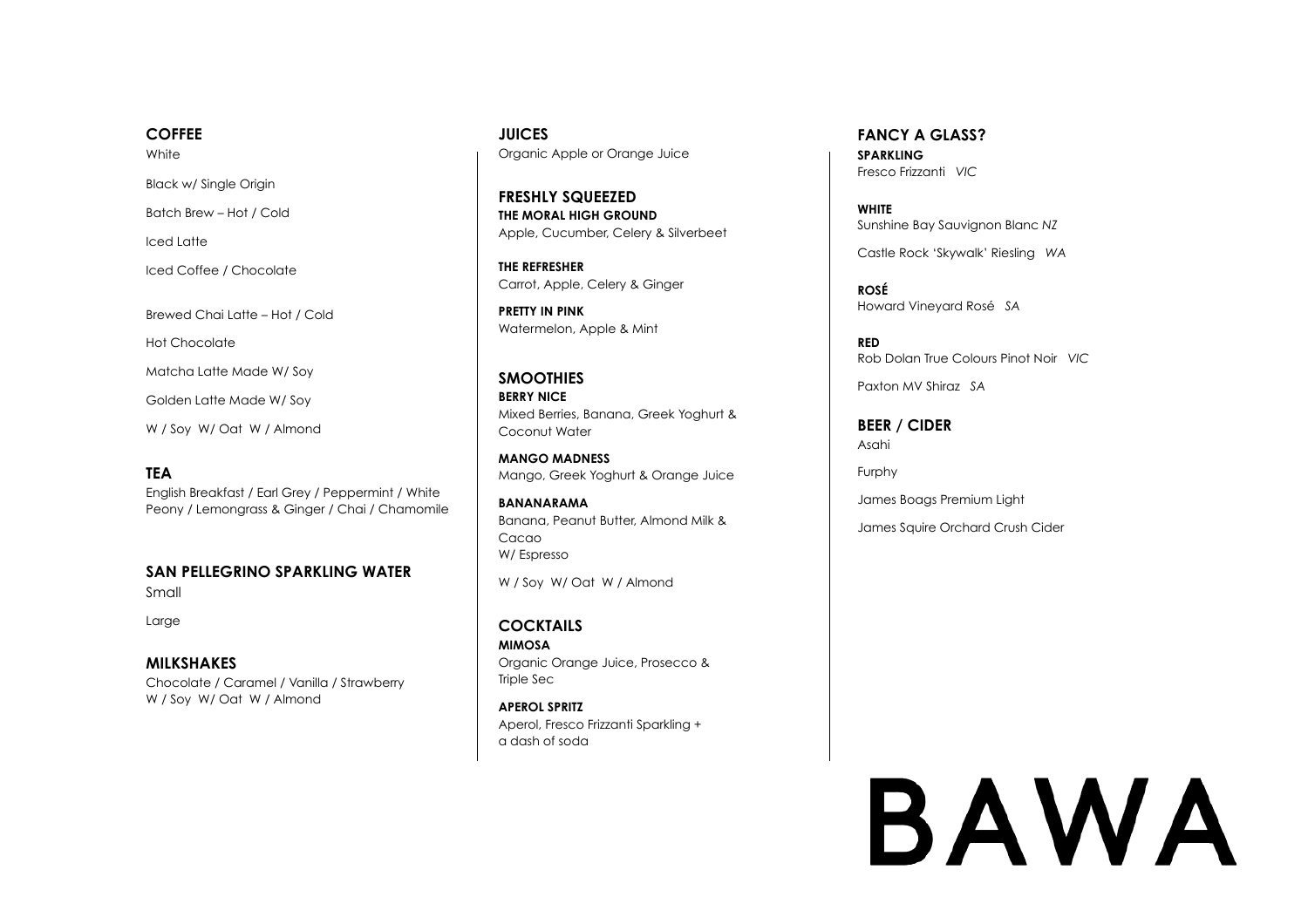### **COFFEE**

**White** 

Black w/ Single Origin

Batch Brew – Hot / Cold

Iced Latte

Iced Coffee / Chocolate

Brewed Chai Latte – Hot / Cold Hot Chocolate Matcha Latte Made W/ Soy Golden Latte Made W/ Soy W / Soy W/ Oat W / Almond

### **TEA**

English Breakfast / Earl Grey / Peppermint / White Peony / Lemongrass & Ginger / Chai / Chamomile

**SAN PELLEGRINO SPARKLING WATER** Small

Large

**MILKSHAKES** Chocolate / Caramel / Vanilla / Strawberry W / Soy W/ Oat W / Almond

**JUICES** Organic Apple or Orange Juice

**FRESHLY SQUEEZED THE MORAL HIGH GROUND** Apple, Cucumber, Celery & Silverbeet

**THE REFRESHER** Carrot, Apple, Celery & Ginger

**PRETTY IN PINK** Watermelon, Apple & Mint

**SMOOTHIES BERRY NICE** Mixed Berries, Banana, Greek Yoghurt & Coconut Water

**MANGO MADNESS** Mango, Greek Yoghurt & Orange Juice

**BANANARAMA**  Banana, Peanut Butter, Almond Milk & Cacao W/ Espresso

W / Soy W/ Oat W / Almond

**COCKTAILS MIMOSA** Organic Orange Juice, Prosecco & Triple Sec

**APEROL SPRITZ** Aperol, Fresco Frizzanti Sparkling + a dash of soda

**FANCY A GLASS? SPARKLING**  Fresco Frizzanti *VIC* 

**WHITE** Sunshine Bay Sauvignon Blanc *NZ* 

Castle Rock 'Skywalk' Riesling *WA*

**ROSÉ** Howard Vineyard Rosé *SA* 

**RED** Rob Dolan True Colours Pinot Noir *VIC* 

Paxton MV Shiraz *SA* 

**BEER / CIDER** Asahi

Furphy

James Boags Premium Light

James Squire Orchard Crush Cider

# BAWA